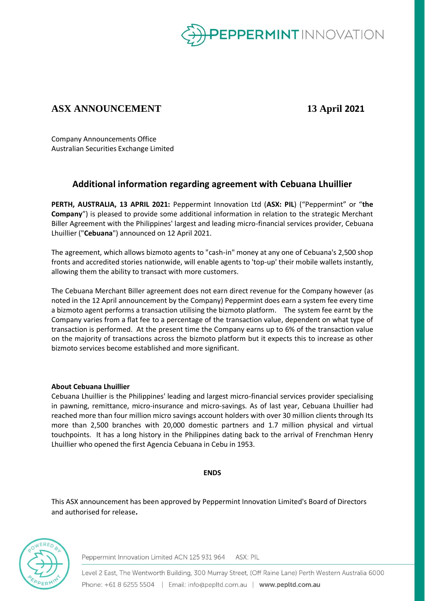

# **ASX ANNOUNCEMENT 13 April 2021**

Company Announcements Office Australian Securities Exchange Limited

# **Additional information regarding agreement with Cebuana Lhuillier**

**PERTH, AUSTRALIA, 13 APRIL 2021:** Peppermint Innovation Ltd (**ASX: PIL**) ("Peppermint" or "**the Company**") is pleased to provide some additional information in relation to the strategic Merchant Biller Agreement with the Philippines' largest and leading micro-financial services provider, Cebuana Lhuillier ("**Cebuana**") announced on 12 April 2021.

The agreement, which allows bizmoto agents to "cash-in" money at any one of Cebuana's 2,500 shop fronts and accredited stories nationwide, will enable agents to 'top-up' their mobile wallets instantly, allowing them the ability to transact with more customers.

The Cebuana Merchant Biller agreement does not earn direct revenue for the Company however (as noted in the 12 April announcement by the Company) Peppermint does earn a system fee every time a bizmoto agent performs a transaction utilising the bizmoto platform. The system fee earnt by the Company varies from a flat fee to a percentage of the transaction value, dependent on what type of transaction is performed. At the present time the Company earns up to 6% of the transaction value on the majority of transactions across the bizmoto platform but it expects this to increase as other bizmoto services become established and more significant.

## **About Cebuana Lhuillier**

Cebuana Lhuillier is the Philippines' leading and largest micro-financial services provider specialising in pawning, remittance, micro-insurance and micro-savings. As of last year, Cebuana Lhuillier had reached more than four million micro savings account holders with over 30 million clients through Its more than 2,500 branches with 20,000 domestic partners and 1.7 million physical and virtual touchpoints. It has a long history in the Philippines dating back to the arrival of Frenchman Henry Lhuillier who opened the first Agencia Cebuana in Cebu in 1953.

## **ENDS**

This ASX announcement has been approved by Peppermint Innovation Limited's Board of Directors and authorised for release**.** 



Peppermint Innovation Limited ACN 125 931 964 ASX: PIL

Level 2 East, The Wentworth Building, 300 Murray Street, (Off Raine Lane) Perth Western Australia 6000 Phone: +61 8 6255 5504 | Email: info@pepltd.com.au | www.pepltd.com.au